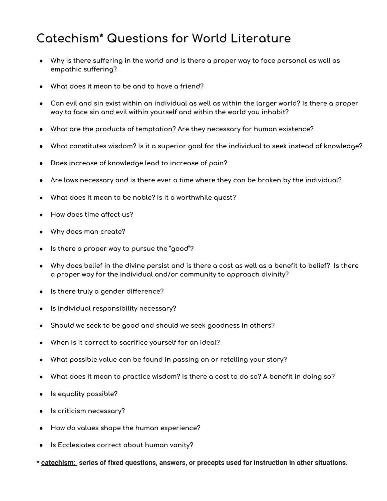## **Catechism\* Questions for World Literature**

- Why is there suffering in the world and is there a proper way to face personal as well as **empathic suffering?**
- **● What does it mean to be and to have a friend?**
- $\bullet$  Can evil and sin exist within an individual as well as within the larger world? Is there a proper **way to face sin and evil within yourself and within the world you inhabit?**
- **● What are the products of temptation? Are they necessary for human existence?**
- **● What constitutes wisdom? Is it a superior goal for the individual to seek instead of knowledge?**
- **● Does increase of knowledge lead to increase of pain?**
- **● Are laws necessary and is there ever a time where they can be broken by the individual?**
- **● What does it mean to be noble? Is it a worthwhile quest?**
- **● How does time affect us?**
- **● Why does man create?**
- **● Is there a proper way to pursue the "good"?**
- Why does belief in the divine persist and is there a cost as well as a benefit to belief? Is there **a proper way for the individual and/or community to approach divinity?**
- **● Is there truly a gender difference?**
- **● Is individual responsibility necessary?**
- **● Should we seek to be good and should we seek goodness in others?**
- **● When is it correct to sacrifice yourself for an ideal?**
- **● What possible value can be found in passing on or retelling your story?**
- What does it mean to practice wisdom? Is there a cost to do so? A benefit in doing so?
- **● Is equality possible?**
- **● Is criticism necessary?**
- **● How do values shape the human experience?**
- **● Is Ecclesiates correct about human vanity?**
- **\* catechism: series of fixed questions, answers, or precepts used for instruction in other situations.**